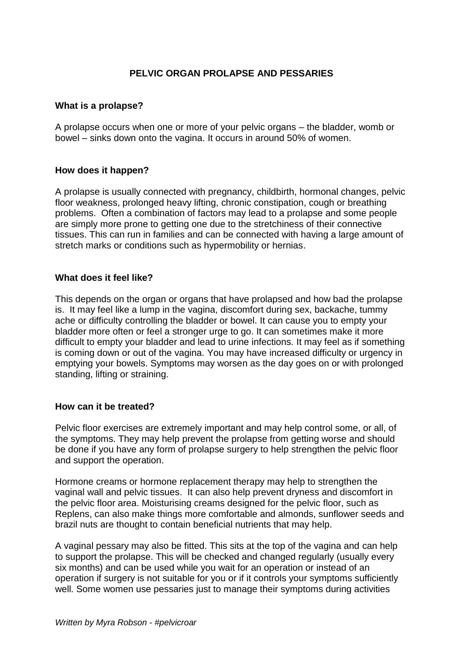# **PELVIC ORGAN PROLAPSE AND PESSARIES**

#### **What is a prolapse?**

A prolapse occurs when one or more of your pelvic organs – the bladder, womb or bowel – sinks down onto the vagina. It occurs in around 50% of women.

#### **How does it happen?**

A prolapse is usually connected with pregnancy, childbirth, hormonal changes, pelvic floor weakness, prolonged heavy lifting, chronic constipation, cough or breathing problems. Often a combination of factors may lead to a prolapse and some people are simply more prone to getting one due to the stretchiness of their connective tissues. This can run in families and can be connected with having a large amount of stretch marks or conditions such as hypermobility or hernias.

#### **What does it feel like?**

This depends on the organ or organs that have prolapsed and how bad the prolapse is. It may feel like a lump in the vagina, discomfort during sex, backache, tummy ache or difficulty controlling the bladder or bowel. It can cause you to empty your bladder more often or feel a stronger urge to go. It can sometimes make it more difficult to empty your bladder and lead to urine infections. It may feel as if something is coming down or out of the vagina. You may have increased difficulty or urgency in emptying your bowels. Symptoms may worsen as the day goes on or with prolonged standing, lifting or straining.

#### **How can it be treated?**

Pelvic floor exercises are extremely important and may help control some, or all, of the symptoms. They may help prevent the prolapse from getting worse and should be done if you have any form of prolapse surgery to help strengthen the pelvic floor and support the operation.

Hormone creams or hormone replacement therapy may help to strengthen the vaginal wall and pelvic tissues. It can also help prevent dryness and discomfort in the pelvic floor area. Moisturising creams designed for the pelvic floor, such as Replens, can also make things more comfortable and almonds, sunflower seeds and brazil nuts are thought to contain beneficial nutrients that may help.

A vaginal pessary may also be fitted. This sits at the top of the vagina and can help to support the prolapse. This will be checked and changed regularly (usually every six months) and can be used while you wait for an operation or instead of an operation if surgery is not suitable for you or if it controls your symptoms sufficiently well. Some women use pessaries just to manage their symptoms during activities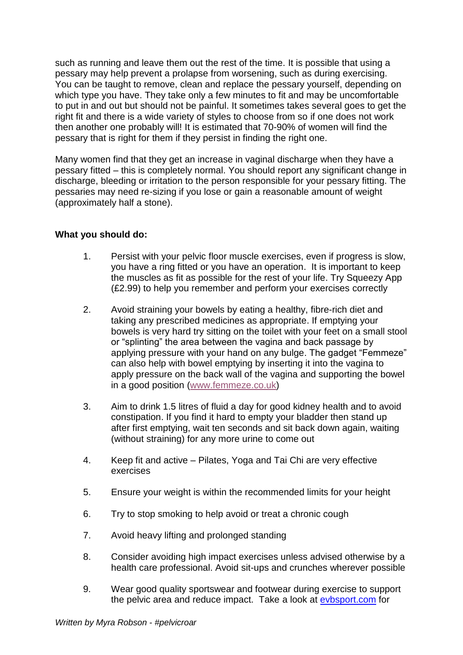such as running and leave them out the rest of the time. It is possible that using a pessary may help prevent a prolapse from worsening, such as during exercising. You can be taught to remove, clean and replace the pessary yourself, depending on which type you have. They take only a few minutes to fit and may be uncomfortable to put in and out but should not be painful. It sometimes takes several goes to get the right fit and there is a wide variety of styles to choose from so if one does not work then another one probably will! It is estimated that 70-90% of women will find the pessary that is right for them if they persist in finding the right one.

Many women find that they get an increase in vaginal discharge when they have a pessary fitted – this is completely normal. You should report any significant change in discharge, bleeding or irritation to the person responsible for your pessary fitting. The pessaries may need re-sizing if you lose or gain a reasonable amount of weight (approximately half a stone).

## **What you should do:**

- 1. Persist with your pelvic floor muscle exercises, even if progress is slow, you have a ring fitted or you have an operation. It is important to keep the muscles as fit as possible for the rest of your life. Try Squeezy App (£2.99) to help you remember and perform your exercises correctly
- 2. Avoid straining your bowels by eating a healthy, fibre-rich diet and taking any prescribed medicines as appropriate. If emptying your bowels is very hard try sitting on the toilet with your feet on a small stool or "splinting" the area between the vagina and back passage by applying pressure with your hand on any bulge. The gadget "Femmeze" can also help with bowel emptying by inserting it into the vagina to apply pressure on the back wall of the vagina and supporting the bowel in a good position [\(www.femmeze.co.uk\)](https://www.femmeze.co.uk/)
- 3. Aim to drink 1.5 litres of fluid a day for good kidney health and to avoid constipation. If you find it hard to empty your bladder then stand up after first emptying, wait ten seconds and sit back down again, waiting (without straining) for any more urine to come out
- 4. Keep fit and active Pilates, Yoga and Tai Chi are very effective exercises
- 5. Ensure your weight is within the recommended limits for your height
- 6. Try to stop smoking to help avoid or treat a chronic cough
- 7. Avoid heavy lifting and prolonged standing
- 8. Consider avoiding high impact exercises unless advised otherwise by a health care professional. Avoid sit-ups and crunches wherever possible
- 9. Wear good quality sportswear and footwear during exercise to support the pelvic area and reduce impact. Take a look at [evbsport.com](https://www.evbsport.com/) for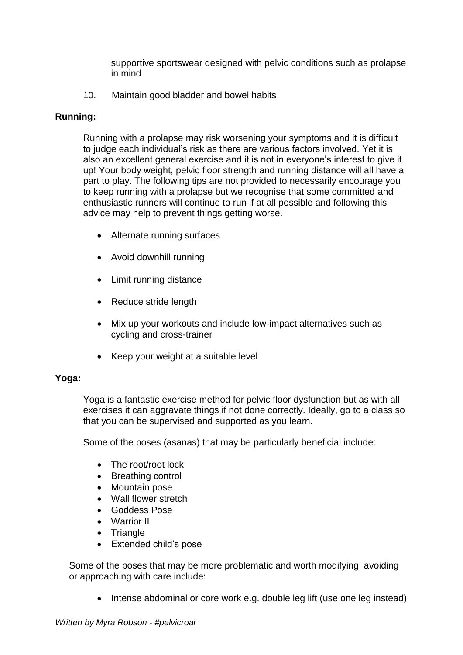supportive sportswear designed with pelvic conditions such as prolapse in mind

10. Maintain good bladder and bowel habits

### **Running:**

Running with a prolapse may risk worsening your symptoms and it is difficult to judge each individual's risk as there are various factors involved. Yet it is also an excellent general exercise and it is not in everyone's interest to give it up! Your body weight, pelvic floor strength and running distance will all have a part to play. The following tips are not provided to necessarily encourage you to keep running with a prolapse but we recognise that some committed and enthusiastic runners will continue to run if at all possible and following this advice may help to prevent things getting worse.

- Alternate running surfaces
- Avoid downhill running
- Limit running distance
- Reduce stride length
- Mix up your workouts and include low-impact alternatives such as cycling and cross-trainer
- Keep your weight at a suitable level

#### **Yoga:**

Yoga is a fantastic exercise method for pelvic floor dysfunction but as with all exercises it can aggravate things if not done correctly. Ideally, go to a class so that you can be supervised and supported as you learn.

Some of the poses (asanas) that may be particularly beneficial include:

- The root/root lock
- Breathing control
- Mountain pose
- Wall flower stretch
- Goddess Pose
- Warrior II
- Triangle
- Extended child's pose

Some of the poses that may be more problematic and worth modifying, avoiding or approaching with care include:

• Intense abdominal or core work e.g. double leg lift (use one leg instead)